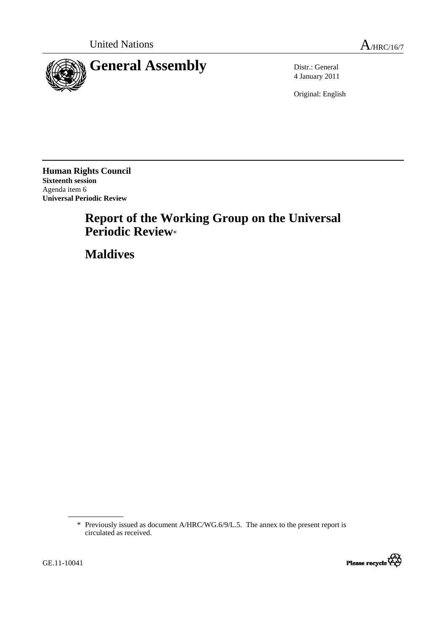



4 January 2011

Original: English

**Human Rights Council Sixteenth session**  Agenda item 6 **Universal Periodic Review** 

# **Report of the Working Group on the Universal Periodic Review**\*

 **Maldives** 

<sup>\*</sup> Previously issued as document A/HRC/WG.6/9/L.5. The annex to the present report is circulated as received.

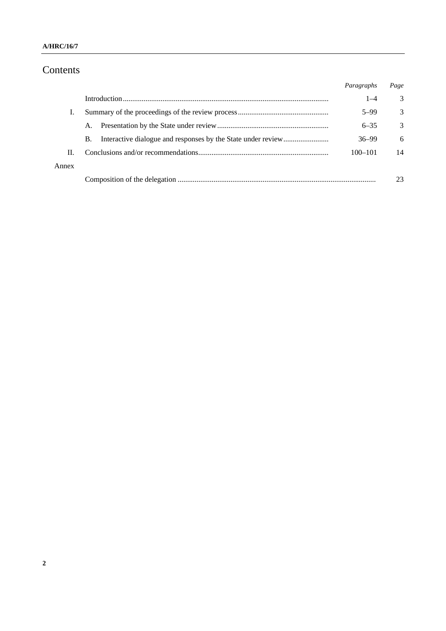# Contents

|       |    | Paragraphs  | Page |
|-------|----|-------------|------|
|       |    | $1 - 4$     | 3    |
| T.    |    | $5 - 99$    | 3    |
|       | A. | $6 - 35$    | 3    |
|       | В. | $36 - 99$   | 6    |
| П.    |    | $100 - 101$ | 14   |
| Annex |    |             |      |
|       |    |             | 23   |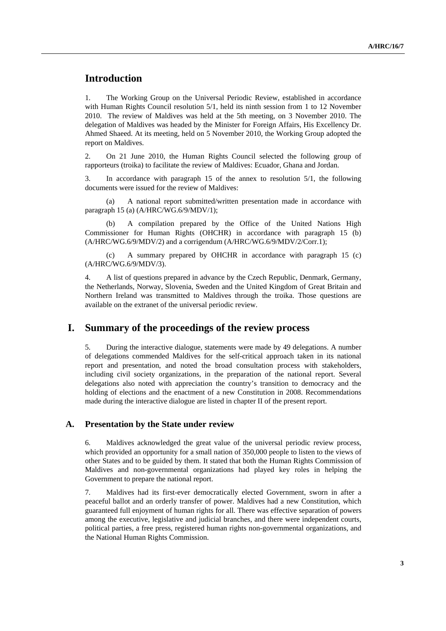# **Introduction**

1. The Working Group on the Universal Periodic Review, established in accordance with Human Rights Council resolution 5/1, held its ninth session from 1 to 12 November 2010. The review of Maldives was held at the 5th meeting, on 3 November 2010. The delegation of Maldives was headed by the Minister for Foreign Affairs, His Excellency Dr. Ahmed Shaeed. At its meeting, held on 5 November 2010, the Working Group adopted the report on Maldives.

2. On 21 June 2010, the Human Rights Council selected the following group of rapporteurs (troika) to facilitate the review of Maldives: Ecuador, Ghana and Jordan.

3. In accordance with paragraph 15 of the annex to resolution 5/1, the following documents were issued for the review of Maldives:

A national report submitted/written presentation made in accordance with paragraph 15 (a) (A/HRC/WG.6/9/MDV/1);

 (b) A compilation prepared by the Office of the United Nations High Commissioner for Human Rights (OHCHR) in accordance with paragraph 15 (b) (A/HRC/WG.6/9/MDV/2) and a corrigendum (A/HRC/WG.6/9/MDV/2/Corr.1);

 (c) A summary prepared by OHCHR in accordance with paragraph 15 (c) (A/HRC/WG.6/9/MDV/3).

4. A list of questions prepared in advance by the Czech Republic, Denmark, Germany, the Netherlands, Norway, Slovenia, Sweden and the United Kingdom of Great Britain and Northern Ireland was transmitted to Maldives through the troika. Those questions are available on the extranet of the universal periodic review.

### **I. Summary of the proceedings of the review process**

5. During the interactive dialogue, statements were made by 49 delegations. A number of delegations commended Maldives for the self-critical approach taken in its national report and presentation, and noted the broad consultation process with stakeholders, including civil society organizations, in the preparation of the national report. Several delegations also noted with appreciation the country's transition to democracy and the holding of elections and the enactment of a new Constitution in 2008. Recommendations made during the interactive dialogue are listed in chapter II of the present report.

#### **A. Presentation by the State under review**

6. Maldives acknowledged the great value of the universal periodic review process, which provided an opportunity for a small nation of 350,000 people to listen to the views of other States and to be guided by them. It stated that both the Human Rights Commission of Maldives and non-governmental organizations had played key roles in helping the Government to prepare the national report.

7. Maldives had its first-ever democratically elected Government, sworn in after a peaceful ballot and an orderly transfer of power. Maldives had a new Constitution, which guaranteed full enjoyment of human rights for all. There was effective separation of powers among the executive, legislative and judicial branches, and there were independent courts, political parties, a free press, registered human rights non-governmental organizations, and the National Human Rights Commission.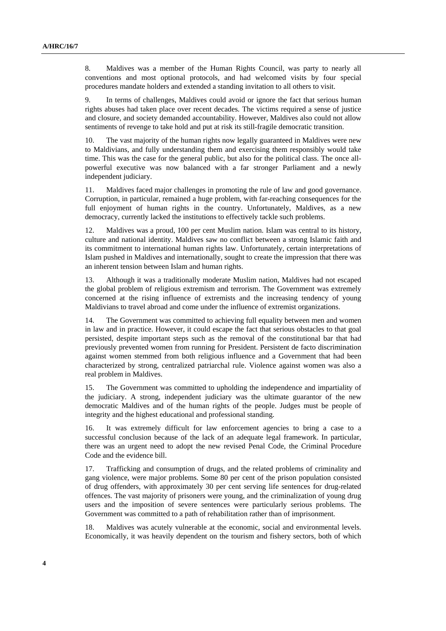8. Maldives was a member of the Human Rights Council, was party to nearly all conventions and most optional protocols, and had welcomed visits by four special procedures mandate holders and extended a standing invitation to all others to visit.

9. In terms of challenges, Maldives could avoid or ignore the fact that serious human rights abuses had taken place over recent decades. The victims required a sense of justice and closure, and society demanded accountability. However, Maldives also could not allow sentiments of revenge to take hold and put at risk its still-fragile democratic transition.

10. The vast majority of the human rights now legally guaranteed in Maldives were new to Maldivians, and fully understanding them and exercising them responsibly would take time. This was the case for the general public, but also for the political class. The once allpowerful executive was now balanced with a far stronger Parliament and a newly independent judiciary.

11. Maldives faced major challenges in promoting the rule of law and good governance. Corruption, in particular, remained a huge problem, with far-reaching consequences for the full enjoyment of human rights in the country. Unfortunately, Maldives, as a new democracy, currently lacked the institutions to effectively tackle such problems.

12. Maldives was a proud, 100 per cent Muslim nation. Islam was central to its history, culture and national identity. Maldives saw no conflict between a strong Islamic faith and its commitment to international human rights law. Unfortunately, certain interpretations of Islam pushed in Maldives and internationally, sought to create the impression that there was an inherent tension between Islam and human rights.

13. Although it was a traditionally moderate Muslim nation, Maldives had not escaped the global problem of religious extremism and terrorism. The Government was extremely concerned at the rising influence of extremists and the increasing tendency of young Maldivians to travel abroad and come under the influence of extremist organizations.

14. The Government was committed to achieving full equality between men and women in law and in practice. However, it could escape the fact that serious obstacles to that goal persisted, despite important steps such as the removal of the constitutional bar that had previously prevented women from running for President. Persistent de facto discrimination against women stemmed from both religious influence and a Government that had been characterized by strong, centralized patriarchal rule. Violence against women was also a real problem in Maldives.

15. The Government was committed to upholding the independence and impartiality of the judiciary. A strong, independent judiciary was the ultimate guarantor of the new democratic Maldives and of the human rights of the people. Judges must be people of integrity and the highest educational and professional standing.

16. It was extremely difficult for law enforcement agencies to bring a case to a successful conclusion because of the lack of an adequate legal framework. In particular, there was an urgent need to adopt the new revised Penal Code, the Criminal Procedure Code and the evidence bill.

17. Trafficking and consumption of drugs, and the related problems of criminality and gang violence, were major problems. Some 80 per cent of the prison population consisted of drug offenders, with approximately 30 per cent serving life sentences for drug-related offences. The vast majority of prisoners were young, and the criminalization of young drug users and the imposition of severe sentences were particularly serious problems. The Government was committed to a path of rehabilitation rather than of imprisonment.

18. Maldives was acutely vulnerable at the economic, social and environmental levels. Economically, it was heavily dependent on the tourism and fishery sectors, both of which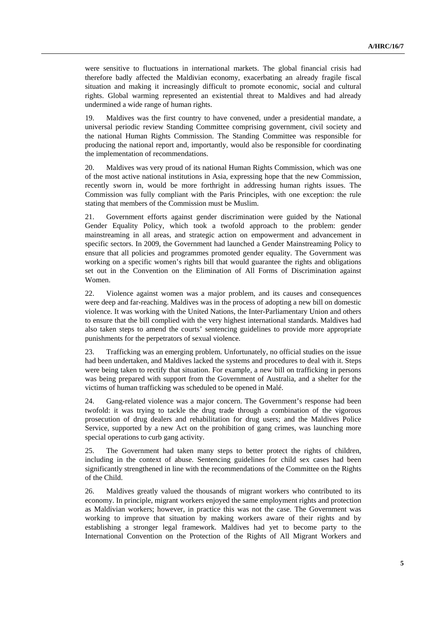were sensitive to fluctuations in international markets. The global financial crisis had therefore badly affected the Maldivian economy, exacerbating an already fragile fiscal situation and making it increasingly difficult to promote economic, social and cultural rights. Global warming represented an existential threat to Maldives and had already undermined a wide range of human rights.

19. Maldives was the first country to have convened, under a presidential mandate, a universal periodic review Standing Committee comprising government, civil society and the national Human Rights Commission. The Standing Committee was responsible for producing the national report and, importantly, would also be responsible for coordinating the implementation of recommendations.

20. Maldives was very proud of its national Human Rights Commission, which was one of the most active national institutions in Asia, expressing hope that the new Commission, recently sworn in, would be more forthright in addressing human rights issues. The Commission was fully compliant with the Paris Principles, with one exception: the rule stating that members of the Commission must be Muslim.

21. Government efforts against gender discrimination were guided by the National Gender Equality Policy, which took a twofold approach to the problem: gender mainstreaming in all areas, and strategic action on empowerment and advancement in specific sectors. In 2009, the Government had launched a Gender Mainstreaming Policy to ensure that all policies and programmes promoted gender equality. The Government was working on a specific women's rights bill that would guarantee the rights and obligations set out in the Convention on the Elimination of All Forms of Discrimination against Women.

22. Violence against women was a major problem, and its causes and consequences were deep and far-reaching. Maldives was in the process of adopting a new bill on domestic violence. It was working with the United Nations, the Inter-Parliamentary Union and others to ensure that the bill complied with the very highest international standards. Maldives had also taken steps to amend the courts' sentencing guidelines to provide more appropriate punishments for the perpetrators of sexual violence.

23. Trafficking was an emerging problem. Unfortunately, no official studies on the issue had been undertaken, and Maldives lacked the systems and procedures to deal with it. Steps were being taken to rectify that situation. For example, a new bill on trafficking in persons was being prepared with support from the Government of Australia, and a shelter for the victims of human trafficking was scheduled to be opened in Malé.

24. Gang-related violence was a major concern. The Government's response had been twofold: it was trying to tackle the drug trade through a combination of the vigorous prosecution of drug dealers and rehabilitation for drug users; and the Maldives Police Service, supported by a new Act on the prohibition of gang crimes, was launching more special operations to curb gang activity.

25. The Government had taken many steps to better protect the rights of children, including in the context of abuse. Sentencing guidelines for child sex cases had been significantly strengthened in line with the recommendations of the Committee on the Rights of the Child.

26. Maldives greatly valued the thousands of migrant workers who contributed to its economy. In principle, migrant workers enjoyed the same employment rights and protection as Maldivian workers; however, in practice this was not the case. The Government was working to improve that situation by making workers aware of their rights and by establishing a stronger legal framework. Maldives had yet to become party to the International Convention on the Protection of the Rights of All Migrant Workers and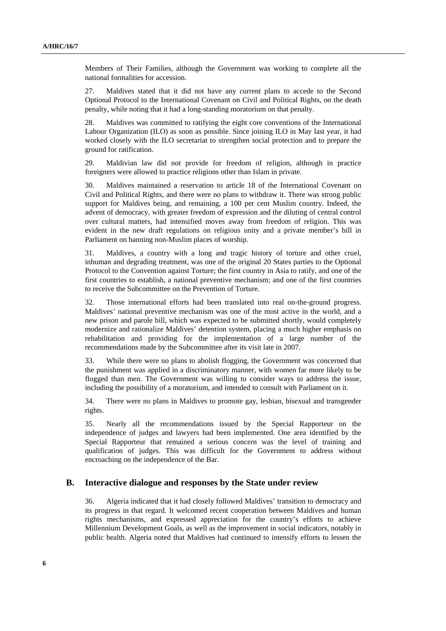Members of Their Families, although the Government was working to complete all the national formalities for accession.

27. Maldives stated that it did not have any current plans to accede to the Second Optional Protocol to the International Covenant on Civil and Political Rights, on the death penalty, while noting that it had a long-standing moratorium on that penalty.

28. Maldives was committed to ratifying the eight core conventions of the International Labour Organization (ILO) as soon as possible. Since joining ILO in May last year, it had worked closely with the ILO secretariat to strengthen social protection and to prepare the ground for ratification.

29. Maldivian law did not provide for freedom of religion, although in practice foreigners were allowed to practice religions other than Islam in private.

30. Maldives maintained a reservation to article 18 of the International Covenant on Civil and Political Rights, and there were no plans to withdraw it. There was strong public support for Maldives being, and remaining, a 100 per cent Muslim country. Indeed, the advent of democracy, with greater freedom of expression and the diluting of central control over cultural matters, had intensified moves away from freedom of religion. This was evident in the new draft regulations on religious unity and a private member's bill in Parliament on banning non-Muslim places of worship.

31. Maldives, a country with a long and tragic history of torture and other cruel, inhuman and degrading treatment, was one of the original 20 States parties to the Optional Protocol to the Convention against Torture; the first country in Asia to ratify, and one of the first countries to establish, a national preventive mechanism; and one of the first countries to receive the Subcommittee on the Prevention of Torture.

32. Those international efforts had been translated into real on-the-ground progress. Maldives' national preventive mechanism was one of the most active in the world, and a new prison and parole bill, which was expected to be submitted shortly, would completely modernize and rationalize Maldives' detention system, placing a much higher emphasis on rehabilitation and providing for the implementation of a large number of the recommendations made by the Subcommittee after its visit late in 2007.

33. While there were no plans to abolish flogging, the Government was concerned that the punishment was applied in a discriminatory manner, with women far more likely to be flogged than men. The Government was willing to consider ways to address the issue, including the possibility of a moratorium, and intended to consult with Parliament on it.

34. There were no plans in Maldives to promote gay, lesbian, bisexual and transgender rights.

35. Nearly all the recommendations issued by the Special Rapporteur on the independence of judges and lawyers had been implemented. One area identified by the Special Rapporteur that remained a serious concern was the level of training and qualification of judges. This was difficult for the Government to address without encroaching on the independence of the Bar.

#### **B. Interactive dialogue and responses by the State under review**

36. Algeria indicated that it had closely followed Maldives' transition to democracy and its progress in that regard. It welcomed recent cooperation between Maldives and human rights mechanisms, and expressed appreciation for the country's efforts to achieve Millennium Development Goals, as well as the improvement in social indicators, notably in public health. Algeria noted that Maldives had continued to intensify efforts to lessen the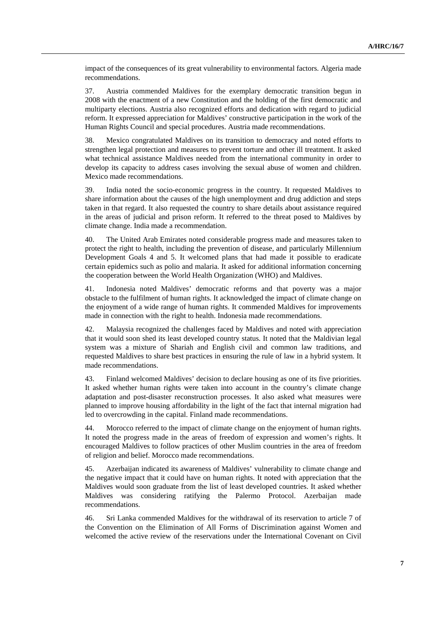impact of the consequences of its great vulnerability to environmental factors. Algeria made recommendations.

37. Austria commended Maldives for the exemplary democratic transition begun in 2008 with the enactment of a new Constitution and the holding of the first democratic and multiparty elections. Austria also recognized efforts and dedication with regard to judicial reform. It expressed appreciation for Maldives' constructive participation in the work of the Human Rights Council and special procedures. Austria made recommendations.

38. Mexico congratulated Maldives on its transition to democracy and noted efforts to strengthen legal protection and measures to prevent torture and other ill treatment. It asked what technical assistance Maldives needed from the international community in order to develop its capacity to address cases involving the sexual abuse of women and children. Mexico made recommendations.

39. India noted the socio-economic progress in the country. It requested Maldives to share information about the causes of the high unemployment and drug addiction and steps taken in that regard. It also requested the country to share details about assistance required in the areas of judicial and prison reform. It referred to the threat posed to Maldives by climate change. India made a recommendation.

40. The United Arab Emirates noted considerable progress made and measures taken to protect the right to health, including the prevention of disease, and particularly Millennium Development Goals 4 and 5. It welcomed plans that had made it possible to eradicate certain epidemics such as polio and malaria. It asked for additional information concerning the cooperation between the World Health Organization (WHO) and Maldives.

41. Indonesia noted Maldives' democratic reforms and that poverty was a major obstacle to the fulfilment of human rights. It acknowledged the impact of climate change on the enjoyment of a wide range of human rights. It commended Maldives for improvements made in connection with the right to health. Indonesia made recommendations.

42. Malaysia recognized the challenges faced by Maldives and noted with appreciation that it would soon shed its least developed country status. It noted that the Maldivian legal system was a mixture of Shariah and English civil and common law traditions, and requested Maldives to share best practices in ensuring the rule of law in a hybrid system. It made recommendations.

43. Finland welcomed Maldives' decision to declare housing as one of its five priorities. It asked whether human rights were taken into account in the country's climate change adaptation and post-disaster reconstruction processes. It also asked what measures were planned to improve housing affordability in the light of the fact that internal migration had led to overcrowding in the capital. Finland made recommendations.

44. Morocco referred to the impact of climate change on the enjoyment of human rights. It noted the progress made in the areas of freedom of expression and women's rights. It encouraged Maldives to follow practices of other Muslim countries in the area of freedom of religion and belief. Morocco made recommendations.

45. Azerbaijan indicated its awareness of Maldives' vulnerability to climate change and the negative impact that it could have on human rights. It noted with appreciation that the Maldives would soon graduate from the list of least developed countries. It asked whether Maldives was considering ratifying the Palermo Protocol. Azerbaijan made recommendations.

46. Sri Lanka commended Maldives for the withdrawal of its reservation to article 7 of the Convention on the Elimination of All Forms of Discrimination against Women and welcomed the active review of the reservations under the International Covenant on Civil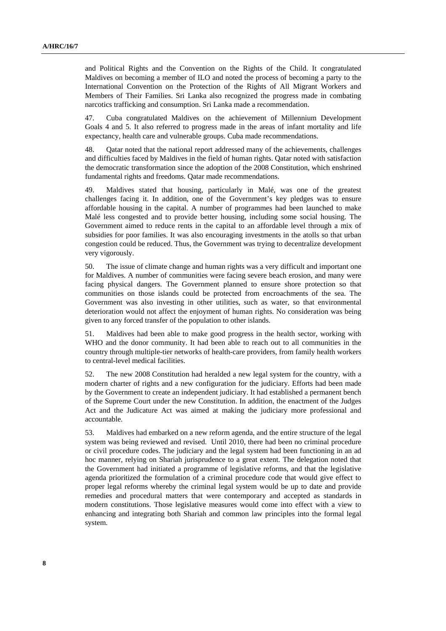and Political Rights and the Convention on the Rights of the Child. It congratulated Maldives on becoming a member of ILO and noted the process of becoming a party to the International Convention on the Protection of the Rights of All Migrant Workers and Members of Their Families. Sri Lanka also recognized the progress made in combating narcotics trafficking and consumption. Sri Lanka made a recommendation.

47. Cuba congratulated Maldives on the achievement of Millennium Development Goals 4 and 5. It also referred to progress made in the areas of infant mortality and life expectancy, health care and vulnerable groups. Cuba made recommendations.

48. Qatar noted that the national report addressed many of the achievements, challenges and difficulties faced by Maldives in the field of human rights. Qatar noted with satisfaction the democratic transformation since the adoption of the 2008 Constitution, which enshrined fundamental rights and freedoms. Qatar made recommendations.

49. Maldives stated that housing, particularly in Malé, was one of the greatest challenges facing it. In addition, one of the Government's key pledges was to ensure affordable housing in the capital. A number of programmes had been launched to make Malé less congested and to provide better housing, including some social housing. The Government aimed to reduce rents in the capital to an affordable level through a mix of subsidies for poor families. It was also encouraging investments in the atolls so that urban congestion could be reduced. Thus, the Government was trying to decentralize development very vigorously.

50. The issue of climate change and human rights was a very difficult and important one for Maldives. A number of communities were facing severe beach erosion, and many were facing physical dangers. The Government planned to ensure shore protection so that communities on those islands could be protected from encroachments of the sea. The Government was also investing in other utilities, such as water, so that environmental deterioration would not affect the enjoyment of human rights. No consideration was being given to any forced transfer of the population to other islands.

51. Maldives had been able to make good progress in the health sector, working with WHO and the donor community. It had been able to reach out to all communities in the country through multiple-tier networks of health-care providers, from family health workers to central-level medical facilities.

52. The new 2008 Constitution had heralded a new legal system for the country, with a modern charter of rights and a new configuration for the judiciary. Efforts had been made by the Government to create an independent judiciary. It had established a permanent bench of the Supreme Court under the new Constitution. In addition, the enactment of the Judges Act and the Judicature Act was aimed at making the judiciary more professional and accountable.

53. Maldives had embarked on a new reform agenda, and the entire structure of the legal system was being reviewed and revised. Until 2010, there had been no criminal procedure or civil procedure codes. The judiciary and the legal system had been functioning in an ad hoc manner, relying on Shariah jurisprudence to a great extent. The delegation noted that the Government had initiated a programme of legislative reforms, and that the legislative agenda prioritized the formulation of a criminal procedure code that would give effect to proper legal reforms whereby the criminal legal system would be up to date and provide remedies and procedural matters that were contemporary and accepted as standards in modern constitutions. Those legislative measures would come into effect with a view to enhancing and integrating both Shariah and common law principles into the formal legal system.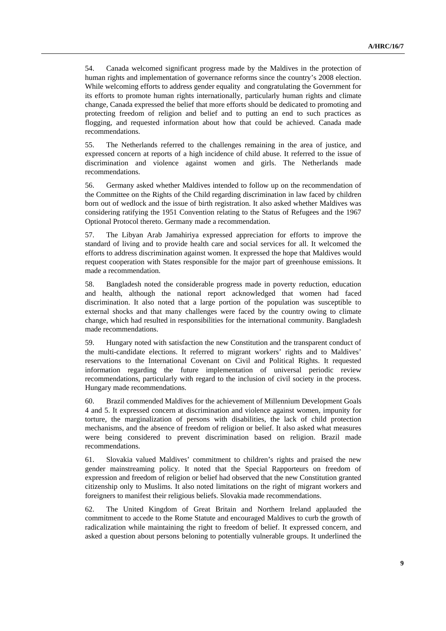54. Canada welcomed significant progress made by the Maldives in the protection of human rights and implementation of governance reforms since the country's 2008 election. While welcoming efforts to address gender equality and congratulating the Government for its efforts to promote human rights internationally, particularly human rights and climate change, Canada expressed the belief that more efforts should be dedicated to promoting and protecting freedom of religion and belief and to putting an end to such practices as flogging, and requested information about how that could be achieved. Canada made recommendations.

55. The Netherlands referred to the challenges remaining in the area of justice, and expressed concern at reports of a high incidence of child abuse. It referred to the issue of discrimination and violence against women and girls. The Netherlands made recommendations.

56. Germany asked whether Maldives intended to follow up on the recommendation of the Committee on the Rights of the Child regarding discrimination in law faced by children born out of wedlock and the issue of birth registration. It also asked whether Maldives was considering ratifying the 1951 Convention relating to the Status of Refugees and the 1967 Optional Protocol thereto. Germany made a recommendation.

57. The Libyan Arab Jamahiriya expressed appreciation for efforts to improve the standard of living and to provide health care and social services for all. It welcomed the efforts to address discrimination against women. It expressed the hope that Maldives would request cooperation with States responsible for the major part of greenhouse emissions. It made a recommendation.

58. Bangladesh noted the considerable progress made in poverty reduction, education and health, although the national report acknowledged that women had faced discrimination. It also noted that a large portion of the population was susceptible to external shocks and that many challenges were faced by the country owing to climate change, which had resulted in responsibilities for the international community. Bangladesh made recommendations.

59. Hungary noted with satisfaction the new Constitution and the transparent conduct of the multi-candidate elections. It referred to migrant workers' rights and to Maldives' reservations to the International Covenant on Civil and Political Rights. It requested information regarding the future implementation of universal periodic review recommendations, particularly with regard to the inclusion of civil society in the process. Hungary made recommendations.

60. Brazil commended Maldives for the achievement of Millennium Development Goals 4 and 5. It expressed concern at discrimination and violence against women, impunity for torture, the marginalization of persons with disabilities, the lack of child protection mechanisms, and the absence of freedom of religion or belief. It also asked what measures were being considered to prevent discrimination based on religion. Brazil made recommendations.

61. Slovakia valued Maldives' commitment to children's rights and praised the new gender mainstreaming policy. It noted that the Special Rapporteurs on freedom of expression and freedom of religion or belief had observed that the new Constitution granted citizenship only to Muslims. It also noted limitations on the right of migrant workers and foreigners to manifest their religious beliefs. Slovakia made recommendations.

62. The United Kingdom of Great Britain and Northern Ireland applauded the commitment to accede to the Rome Statute and encouraged Maldives to curb the growth of radicalization while maintaining the right to freedom of belief. It expressed concern, and asked a question about persons beloning to potentially vulnerable groups. It underlined the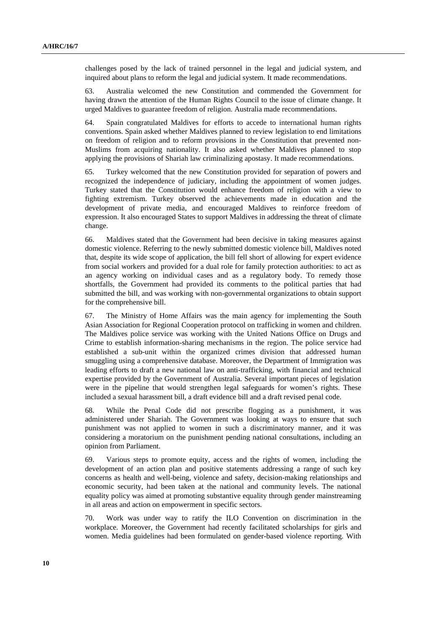challenges posed by the lack of trained personnel in the legal and judicial system, and inquired about plans to reform the legal and judicial system. It made recommendations.

63. Australia welcomed the new Constitution and commended the Government for having drawn the attention of the Human Rights Council to the issue of climate change. It urged Maldives to guarantee freedom of religion. Australia made recommendations.

64. Spain congratulated Maldives for efforts to accede to international human rights conventions. Spain asked whether Maldives planned to review legislation to end limitations on freedom of religion and to reform provisions in the Constitution that prevented non-Muslims from acquiring nationality. It also asked whether Maldives planned to stop applying the provisions of Shariah law criminalizing apostasy. It made recommendations.

65. Turkey welcomed that the new Constitution provided for separation of powers and recognized the independence of judiciary, including the appointment of women judges. Turkey stated that the Constitution would enhance freedom of religion with a view to fighting extremism. Turkey observed the achievements made in education and the development of private media, and encouraged Maldives to reinforce freedom of expression. It also encouraged States to support Maldives in addressing the threat of climate change.

66. Maldives stated that the Government had been decisive in taking measures against domestic violence. Referring to the newly submitted domestic violence bill, Maldives noted that, despite its wide scope of application, the bill fell short of allowing for expert evidence from social workers and provided for a dual role for family protection authorities: to act as an agency working on individual cases and as a regulatory body. To remedy those shortfalls, the Government had provided its comments to the political parties that had submitted the bill, and was working with non-governmental organizations to obtain support for the comprehensive bill.

67. The Ministry of Home Affairs was the main agency for implementing the South Asian Association for Regional Cooperation protocol on trafficking in women and children. The Maldives police service was working with the United Nations Office on Drugs and Crime to establish information-sharing mechanisms in the region. The police service had established a sub-unit within the organized crimes division that addressed human smuggling using a comprehensive database. Moreover, the Department of Immigration was leading efforts to draft a new national law on anti-trafficking, with financial and technical expertise provided by the Government of Australia. Several important pieces of legislation were in the pipeline that would strengthen legal safeguards for women's rights. These included a sexual harassment bill, a draft evidence bill and a draft revised penal code.

68. While the Penal Code did not prescribe flogging as a punishment, it was administered under Shariah. The Government was looking at ways to ensure that such punishment was not applied to women in such a discriminatory manner, and it was considering a moratorium on the punishment pending national consultations, including an opinion from Parliament.

69. Various steps to promote equity, access and the rights of women, including the development of an action plan and positive statements addressing a range of such key concerns as health and well-being, violence and safety, decision-making relationships and economic security, had been taken at the national and community levels. The national equality policy was aimed at promoting substantive equality through gender mainstreaming in all areas and action on empowerment in specific sectors.

70. Work was under way to ratify the ILO Convention on discrimination in the workplace. Moreover, the Government had recently facilitated scholarships for girls and women. Media guidelines had been formulated on gender-based violence reporting. With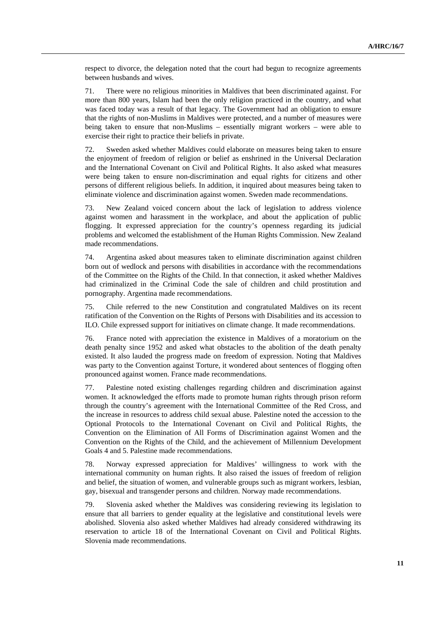respect to divorce, the delegation noted that the court had begun to recognize agreements between husbands and wives.

71. There were no religious minorities in Maldives that been discriminated against. For more than 800 years, Islam had been the only religion practiced in the country, and what was faced today was a result of that legacy. The Government had an obligation to ensure that the rights of non-Muslims in Maldives were protected, and a number of measures were being taken to ensure that non-Muslims – essentially migrant workers – were able to exercise their right to practice their beliefs in private.

72. Sweden asked whether Maldives could elaborate on measures being taken to ensure the enjoyment of freedom of religion or belief as enshrined in the Universal Declaration and the International Covenant on Civil and Political Rights. It also asked what measures were being taken to ensure non-discrimination and equal rights for citizens and other persons of different religious beliefs. In addition, it inquired about measures being taken to eliminate violence and discrimination against women. Sweden made recommendations.

73. New Zealand voiced concern about the lack of legislation to address violence against women and harassment in the workplace, and about the application of public flogging. It expressed appreciation for the country's openness regarding its judicial problems and welcomed the establishment of the Human Rights Commission. New Zealand made recommendations.

74. Argentina asked about measures taken to eliminate discrimination against children born out of wedlock and persons with disabilities in accordance with the recommendations of the Committee on the Rights of the Child. In that connection, it asked whether Maldives had criminalized in the Criminal Code the sale of children and child prostitution and pornography. Argentina made recommendations.

75. Chile referred to the new Constitution and congratulated Maldives on its recent ratification of the Convention on the Rights of Persons with Disabilities and its accession to ILO. Chile expressed support for initiatives on climate change. It made recommendations.

76. France noted with appreciation the existence in Maldives of a moratorium on the death penalty since 1952 and asked what obstacles to the abolition of the death penalty existed. It also lauded the progress made on freedom of expression. Noting that Maldives was party to the Convention against Torture, it wondered about sentences of flogging often pronounced against women. France made recommendations.

77. Palestine noted existing challenges regarding children and discrimination against women. It acknowledged the efforts made to promote human rights through prison reform through the country's agreement with the International Committee of the Red Cross, and the increase in resources to address child sexual abuse. Palestine noted the accession to the Optional Protocols to the International Covenant on Civil and Political Rights, the Convention on the Elimination of All Forms of Discrimination against Women and the Convention on the Rights of the Child, and the achievement of Millennium Development Goals 4 and 5. Palestine made recommendations.

78. Norway expressed appreciation for Maldives' willingness to work with the international community on human rights. It also raised the issues of freedom of religion and belief, the situation of women, and vulnerable groups such as migrant workers, lesbian, gay, bisexual and transgender persons and children. Norway made recommendations.

79. Slovenia asked whether the Maldives was considering reviewing its legislation to ensure that all barriers to gender equality at the legislative and constitutional levels were abolished. Slovenia also asked whether Maldives had already considered withdrawing its reservation to article 18 of the International Covenant on Civil and Political Rights. Slovenia made recommendations.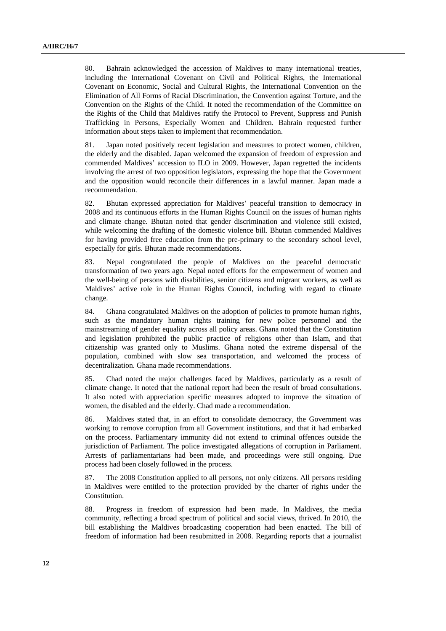80. Bahrain acknowledged the accession of Maldives to many international treaties, including the International Covenant on Civil and Political Rights, the International Covenant on Economic, Social and Cultural Rights, the International Convention on the Elimination of All Forms of Racial Discrimination, the Convention against Torture, and the Convention on the Rights of the Child. It noted the recommendation of the Committee on the Rights of the Child that Maldives ratify the Protocol to Prevent, Suppress and Punish Trafficking in Persons, Especially Women and Children. Bahrain requested further information about steps taken to implement that recommendation.

81. Japan noted positively recent legislation and measures to protect women, children, the elderly and the disabled. Japan welcomed the expansion of freedom of expression and commended Maldives' accession to ILO in 2009. However, Japan regretted the incidents involving the arrest of two opposition legislators, expressing the hope that the Government and the opposition would reconcile their differences in a lawful manner. Japan made a recommendation.

82. Bhutan expressed appreciation for Maldives' peaceful transition to democracy in 2008 and its continuous efforts in the Human Rights Council on the issues of human rights and climate change. Bhutan noted that gender discrimination and violence still existed, while welcoming the drafting of the domestic violence bill. Bhutan commended Maldives for having provided free education from the pre-primary to the secondary school level, especially for girls. Bhutan made recommendations.

83. Nepal congratulated the people of Maldives on the peaceful democratic transformation of two years ago. Nepal noted efforts for the empowerment of women and the well-being of persons with disabilities, senior citizens and migrant workers, as well as Maldives' active role in the Human Rights Council, including with regard to climate change.

84. Ghana congratulated Maldives on the adoption of policies to promote human rights, such as the mandatory human rights training for new police personnel and the mainstreaming of gender equality across all policy areas. Ghana noted that the Constitution and legislation prohibited the public practice of religions other than Islam, and that citizenship was granted only to Muslims. Ghana noted the extreme dispersal of the population, combined with slow sea transportation, and welcomed the process of decentralization. Ghana made recommendations.

85. Chad noted the major challenges faced by Maldives, particularly as a result of climate change. It noted that the national report had been the result of broad consultations. It also noted with appreciation specific measures adopted to improve the situation of women, the disabled and the elderly. Chad made a recommendation.

86. Maldives stated that, in an effort to consolidate democracy, the Government was working to remove corruption from all Government institutions, and that it had embarked on the process. Parliamentary immunity did not extend to criminal offences outside the jurisdiction of Parliament. The police investigated allegations of corruption in Parliament. Arrests of parliamentarians had been made, and proceedings were still ongoing. Due process had been closely followed in the process.

87. The 2008 Constitution applied to all persons, not only citizens. All persons residing in Maldives were entitled to the protection provided by the charter of rights under the Constitution.

88. Progress in freedom of expression had been made. In Maldives, the media community, reflecting a broad spectrum of political and social views, thrived. In 2010, the bill establishing the Maldives broadcasting cooperation had been enacted. The bill of freedom of information had been resubmitted in 2008. Regarding reports that a journalist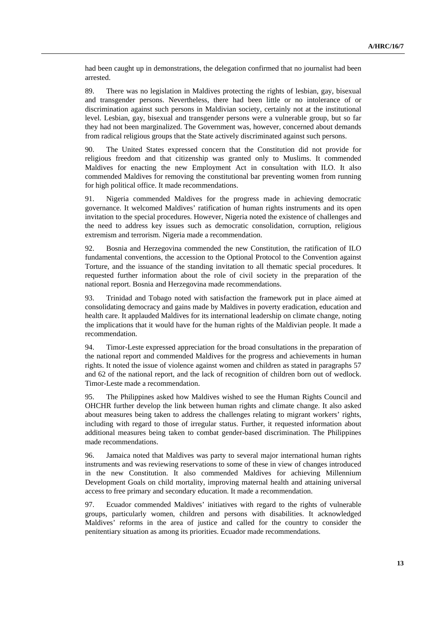had been caught up in demonstrations, the delegation confirmed that no journalist had been arrested.

89. There was no legislation in Maldives protecting the rights of lesbian, gay, bisexual and transgender persons. Nevertheless, there had been little or no intolerance of or discrimination against such persons in Maldivian society, certainly not at the institutional level. Lesbian, gay, bisexual and transgender persons were a vulnerable group, but so far they had not been marginalized. The Government was, however, concerned about demands from radical religious groups that the State actively discriminated against such persons.

90. The United States expressed concern that the Constitution did not provide for religious freedom and that citizenship was granted only to Muslims. It commended Maldives for enacting the new Employment Act in consultation with ILO. It also commended Maldives for removing the constitutional bar preventing women from running for high political office. It made recommendations.

91. Nigeria commended Maldives for the progress made in achieving democratic governance. It welcomed Maldives' ratification of human rights instruments and its open invitation to the special procedures. However, Nigeria noted the existence of challenges and the need to address key issues such as democratic consolidation, corruption, religious extremism and terrorism. Nigeria made a recommendation.

92. Bosnia and Herzegovina commended the new Constitution, the ratification of ILO fundamental conventions, the accession to the Optional Protocol to the Convention against Torture, and the issuance of the standing invitation to all thematic special procedures. It requested further information about the role of civil society in the preparation of the national report. Bosnia and Herzegovina made recommendations.

93. Trinidad and Tobago noted with satisfaction the framework put in place aimed at consolidating democracy and gains made by Maldives in poverty eradication, education and health care. It applauded Maldives for its international leadership on climate change, noting the implications that it would have for the human rights of the Maldivian people. It made a recommendation.

94. Timor-Leste expressed appreciation for the broad consultations in the preparation of the national report and commended Maldives for the progress and achievements in human rights. It noted the issue of violence against women and children as stated in paragraphs 57 and 62 of the national report, and the lack of recognition of children born out of wedlock. Timor-Leste made a recommendation.

95. The Philippines asked how Maldives wished to see the Human Rights Council and OHCHR further develop the link between human rights and climate change. It also asked about measures being taken to address the challenges relating to migrant workers' rights, including with regard to those of irregular status. Further, it requested information about additional measures being taken to combat gender-based discrimination. The Philippines made recommendations.

96. Jamaica noted that Maldives was party to several major international human rights instruments and was reviewing reservations to some of these in view of changes introduced in the new Constitution. It also commended Maldives for achieving Millennium Development Goals on child mortality, improving maternal health and attaining universal access to free primary and secondary education. It made a recommendation.

97. Ecuador commended Maldives' initiatives with regard to the rights of vulnerable groups, particularly women, children and persons with disabilities. It acknowledged Maldives' reforms in the area of justice and called for the country to consider the penitentiary situation as among its priorities. Ecuador made recommendations.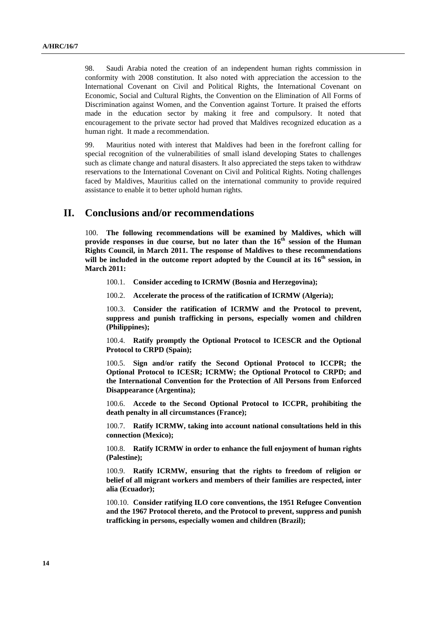98. Saudi Arabia noted the creation of an independent human rights commission in conformity with 2008 constitution. It also noted with appreciation the accession to the International Covenant on Civil and Political Rights, the International Covenant on Economic, Social and Cultural Rights, the Convention on the Elimination of All Forms of Discrimination against Women, and the Convention against Torture. It praised the efforts made in the education sector by making it free and compulsory. It noted that encouragement to the private sector had proved that Maldives recognized education as a human right. It made a recommendation.

99. Mauritius noted with interest that Maldives had been in the forefront calling for special recognition of the vulnerabilities of small island developing States to challenges such as climate change and natural disasters. It also appreciated the steps taken to withdraw reservations to the International Covenant on Civil and Political Rights. Noting challenges faced by Maldives, Mauritius called on the international community to provide required assistance to enable it to better uphold human rights.

#### **II. Conclusions and/or recommendations**

100. **The following recommendations will be examined by Maldives, which will**  provide responses in due course, but no later than the 16<sup>th</sup> session of the Human **Rights Council, in March 2011. The response of Maldives to these recommendations will be included in the outcome report adopted by the Council at its 16th session, in March 2011:**

100.1. **Consider acceding to ICRMW (Bosnia and Herzegovina);** 

100.2. **Accelerate the process of the ratification of ICRMW (Algeria);** 

100.3. **Consider the ratification of ICRMW and the Protocol to prevent, suppress and punish trafficking in persons, especially women and children (Philippines);** 

100.4. **Ratify promptly the Optional Protocol to ICESCR and the Optional Protocol to CRPD (Spain);** 

100.5. **Sign and/or ratify the Second Optional Protocol to ICCPR; the Optional Protocol to ICESR; ICRMW; the Optional Protocol to CRPD; and the International Convention for the Protection of All Persons from Enforced Disappearance (Argentina);** 

100.6. **Accede to the Second Optional Protocol to ICCPR, prohibiting the death penalty in all circumstances (France);** 

100.7. **Ratify ICRMW, taking into account national consultations held in this connection (Mexico);** 

100.8. **Ratify ICRMW in order to enhance the full enjoyment of human rights (Palestine);** 

100.9. **Ratify ICRMW, ensuring that the rights to freedom of religion or belief of all migrant workers and members of their families are respected, inter alia (Ecuador);** 

100.10. **Consider ratifying ILO core conventions, the 1951 Refugee Convention and the 1967 Protocol thereto, and the Protocol to prevent, suppress and punish trafficking in persons, especially women and children (Brazil);**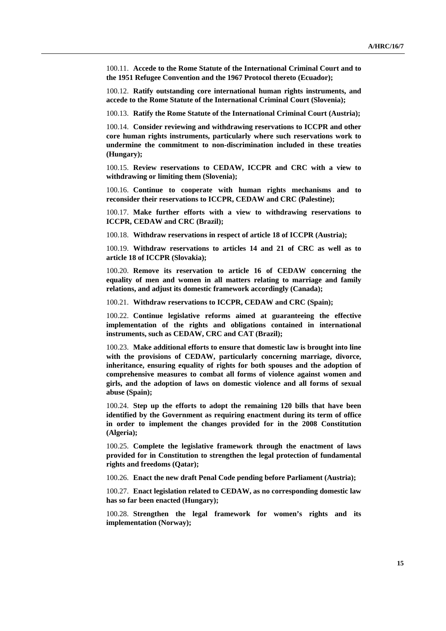100.11. **Accede to the Rome Statute of the International Criminal Court and to the 1951 Refugee Convention and the 1967 Protocol thereto (Ecuador);** 

100.12. **Ratify outstanding core international human rights instruments, and accede to the Rome Statute of the International Criminal Court (Slovenia);** 

100.13. **Ratify the Rome Statute of the International Criminal Court (Austria);** 

100.14. **Consider reviewing and withdrawing reservations to ICCPR and other core human rights instruments, particularly where such reservations work to undermine the commitment to non-discrimination included in these treaties (Hungary);** 

100.15. **Review reservations to CEDAW, ICCPR and CRC with a view to withdrawing or limiting them (Slovenia);** 

100.16. **Continue to cooperate with human rights mechanisms and to reconsider their reservations to ICCPR, CEDAW and CRC (Palestine);** 

100.17. **Make further efforts with a view to withdrawing reservations to ICCPR, CEDAW and CRC (Brazil);** 

100.18. **Withdraw reservations in respect of article 18 of ICCPR (Austria);** 

100.19. **Withdraw reservations to articles 14 and 21 of CRC as well as to article 18 of ICCPR (Slovakia);** 

100.20. **Remove its reservation to article 16 of CEDAW concerning the equality of men and women in all matters relating to marriage and family relations, and adjust its domestic framework accordingly (Canada);** 

100.21. **Withdraw reservations to ICCPR, CEDAW and CRC (Spain);** 

100.22. **Continue legislative reforms aimed at guaranteeing the effective implementation of the rights and obligations contained in international instruments, such as CEDAW, CRC and CAT (Brazil);** 

100.23. **Make additional efforts to ensure that domestic law is brought into line with the provisions of CEDAW, particularly concerning marriage, divorce, inheritance, ensuring equality of rights for both spouses and the adoption of comprehensive measures to combat all forms of violence against women and girls, and the adoption of laws on domestic violence and all forms of sexual abuse (Spain);** 

100.24. **Step up the efforts to adopt the remaining 120 bills that have been identified by the Government as requiring enactment during its term of office in order to implement the changes provided for in the 2008 Constitution (Algeria);** 

100.25. **Complete the legislative framework through the enactment of laws provided for in Constitution to strengthen the legal protection of fundamental rights and freedoms (Qatar);** 

100.26. **Enact the new draft Penal Code pending before Parliament (Austria);** 

100.27. **Enact legislation related to CEDAW, as no corresponding domestic law has so far been enacted (Hungary);** 

100.28. **Strengthen the legal framework for women's rights and its implementation (Norway);**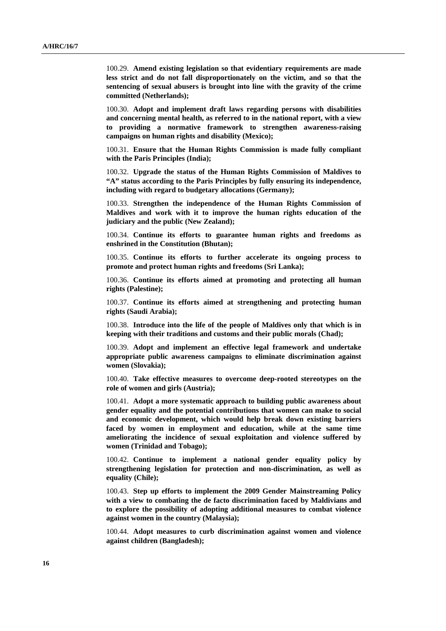100.29. **Amend existing legislation so that evidentiary requirements are made less strict and do not fall disproportionately on the victim, and so that the sentencing of sexual abusers is brought into line with the gravity of the crime committed (Netherlands);** 

100.30. **Adopt and implement draft laws regarding persons with disabilities and concerning mental health, as referred to in the national report, with a view to providing a normative framework to strengthen awareness-raising campaigns on human rights and disability (Mexico);** 

100.31. **Ensure that the Human Rights Commission is made fully compliant with the Paris Principles (India);** 

100.32. **Upgrade the status of the Human Rights Commission of Maldives to "A" status according to the Paris Principles by fully ensuring its independence, including with regard to budgetary allocations (Germany);** 

100.33. **Strengthen the independence of the Human Rights Commission of Maldives and work with it to improve the human rights education of the judiciary and the public (New Zealand);** 

100.34. **Continue its efforts to guarantee human rights and freedoms as enshrined in the Constitution (Bhutan);** 

100.35. **Continue its efforts to further accelerate its ongoing process to promote and protect human rights and freedoms (Sri Lanka);** 

100.36. **Continue its efforts aimed at promoting and protecting all human rights (Palestine);** 

100.37. **Continue its efforts aimed at strengthening and protecting human rights (Saudi Arabia);** 

100.38. **Introduce into the life of the people of Maldives only that which is in keeping with their traditions and customs and their public morals (Chad);** 

100.39. **Adopt and implement an effective legal framework and undertake appropriate public awareness campaigns to eliminate discrimination against women (Slovakia);** 

100.40. **Take effective measures to overcome deep-rooted stereotypes on the role of women and girls (Austria);** 

100.41. **Adopt a more systematic approach to building public awareness about gender equality and the potential contributions that women can make to social and economic development, which would help break down existing barriers faced by women in employment and education, while at the same time ameliorating the incidence of sexual exploitation and violence suffered by women (Trinidad and Tobago);** 

100.42. **Continue to implement a national gender equality policy by strengthening legislation for protection and non-discrimination, as well as equality (Chile);** 

100.43. **Step up efforts to implement the 2009 Gender Mainstreaming Policy with a view to combating the de facto discrimination faced by Maldivians and to explore the possibility of adopting additional measures to combat violence against women in the country (Malaysia);** 

100.44. **Adopt measures to curb discrimination against women and violence against children (Bangladesh);**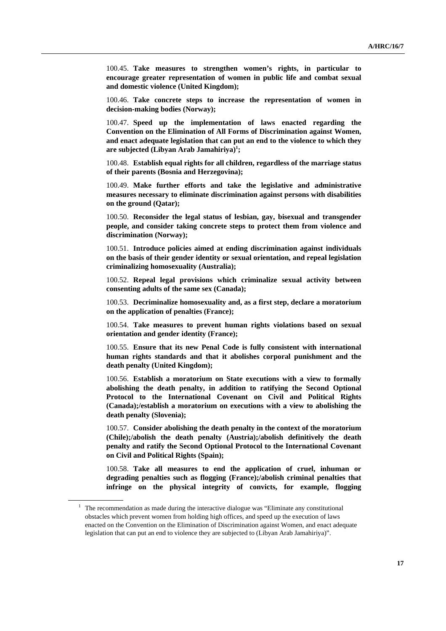100.45. **Take measures to strengthen women's rights, in particular to encourage greater representation of women in public life and combat sexual and domestic violence (United Kingdom);** 

100.46. **Take concrete steps to increase the representation of women in decision-making bodies (Norway);** 

100.47. **Speed up the implementation of laws enacted regarding the Convention on the Elimination of All Forms of Discrimination against Women, and enact adequate legislation that can put an end to the violence to which they are subjected (Libyan Arab Jamahiriya)1 ;** 

100.48. **Establish equal rights for all children, regardless of the marriage status of their parents (Bosnia and Herzegovina);** 

100.49. **Make further efforts and take the legislative and administrative measures necessary to eliminate discrimination against persons with disabilities on the ground (Qatar);** 

100.50. **Reconsider the legal status of lesbian, gay, bisexual and transgender people, and consider taking concrete steps to protect them from violence and discrimination (Norway);** 

100.51. **Introduce policies aimed at ending discrimination against individuals on the basis of their gender identity or sexual orientation, and repeal legislation criminalizing homosexuality (Australia);** 

100.52. **Repeal legal provisions which criminalize sexual activity between consenting adults of the same sex (Canada);** 

100.53. **Decriminalize homosexuality and, as a first step, declare a moratorium on the application of penalties (France);** 

100.54. **Take measures to prevent human rights violations based on sexual orientation and gender identity (France);** 

100.55. **Ensure that its new Penal Code is fully consistent with international human rights standards and that it abolishes corporal punishment and the death penalty (United Kingdom);** 

100.56. **Establish a moratorium on State executions with a view to formally abolishing the death penalty, in addition to ratifying the Second Optional Protocol to the International Covenant on Civil and Political Rights (Canada);/establish a moratorium on executions with a view to abolishing the death penalty (Slovenia);** 

100.57. **Consider abolishing the death penalty in the context of the moratorium (Chile);/abolish the death penalty (Austria);/abolish definitively the death penalty and ratify the Second Optional Protocol to the International Covenant on Civil and Political Rights (Spain);** 

100.58. **Take all measures to end the application of cruel, inhuman or degrading penalties such as flogging (France);/abolish criminal penalties that infringe on the physical integrity of convicts, for example, flogging** 

 $1$  The recommendation as made during the interactive dialogue was "Eliminate any constitutional obstacles which prevent women from holding high offices, and speed up the execution of laws enacted on the Convention on the Elimination of Discrimination against Women, and enact adequate legislation that can put an end to violence they are subjected to (Libyan Arab Jamahiriya)".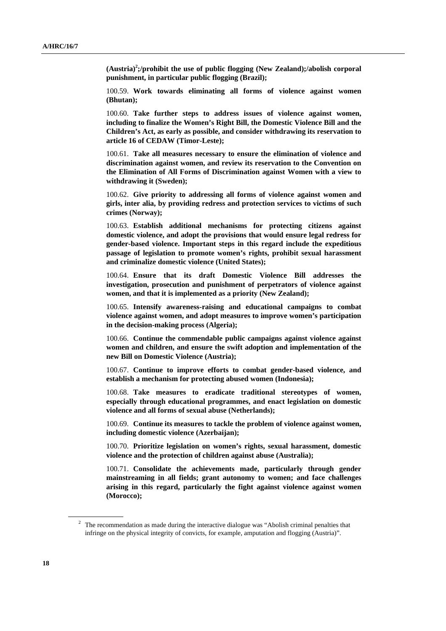**(Austria)2 ;/prohibit the use of public flogging (New Zealand);/abolish corporal punishment, in particular public flogging (Brazil);** 

100.59. **Work towards eliminating all forms of violence against women (Bhutan);** 

100.60. **Take further steps to address issues of violence against women, including to finalize the Women's Right Bill, the Domestic Violence Bill and the Children's Act, as early as possible, and consider withdrawing its reservation to article 16 of CEDAW (Timor-Leste);** 

100.61. **Take all measures necessary to ensure the elimination of violence and discrimination against women, and review its reservation to the Convention on the Elimination of All Forms of Discrimination against Women with a view to withdrawing it (Sweden);** 

100.62. **Give priority to addressing all forms of violence against women and girls, inter alia, by providing redress and protection services to victims of such crimes (Norway);** 

100.63. **Establish additional mechanisms for protecting citizens against domestic violence, and adopt the provisions that would ensure legal redress for gender-based violence. Important steps in this regard include the expeditious passage of legislation to promote women's rights, prohibit sexual harassment and criminalize domestic violence (United States);** 

100.64. **Ensure that its draft Domestic Violence Bill addresses the investigation, prosecution and punishment of perpetrators of violence against women, and that it is implemented as a priority (New Zealand);** 

100.65. **Intensify awareness-raising and educational campaigns to combat violence against women, and adopt measures to improve women's participation in the decision-making process (Algeria);** 

100.66. **Continue the commendable public campaigns against violence against women and children, and ensure the swift adoption and implementation of the new Bill on Domestic Violence (Austria);** 

100.67. **Continue to improve efforts to combat gender-based violence, and establish a mechanism for protecting abused women (Indonesia);** 

100.68. **Take measures to eradicate traditional stereotypes of women, especially through educational programmes, and enact legislation on domestic violence and all forms of sexual abuse (Netherlands);** 

100.69. **Continue its measures to tackle the problem of violence against women, including domestic violence (Azerbaijan);** 

100.70. **Prioritize legislation on women's rights, sexual harassment, domestic violence and the protection of children against abuse (Australia);** 

100.71. **Consolidate the achievements made, particularly through gender mainstreaming in all fields; grant autonomy to women; and face challenges arising in this regard, particularly the fight against violence against women (Morocco);** 

 $2$  The recommendation as made during the interactive dialogue was "Abolish criminal penalties that infringe on the physical integrity of convicts, for example, amputation and flogging (Austria)".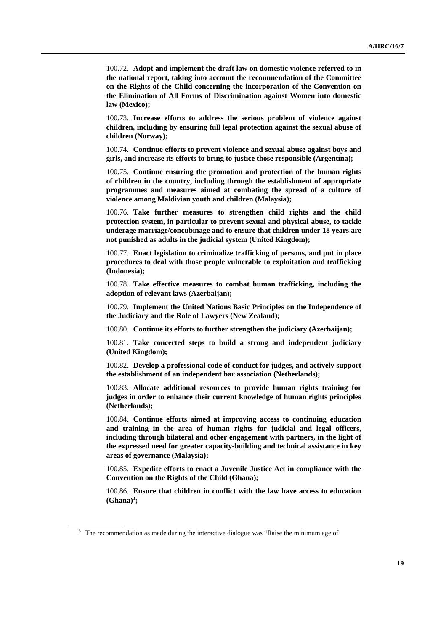100.72. **Adopt and implement the draft law on domestic violence referred to in the national report, taking into account the recommendation of the Committee on the Rights of the Child concerning the incorporation of the Convention on the Elimination of All Forms of Discrimination against Women into domestic law (Mexico);** 

100.73. **Increase efforts to address the serious problem of violence against children, including by ensuring full legal protection against the sexual abuse of children (Norway);** 

100.74. **Continue efforts to prevent violence and sexual abuse against boys and girls, and increase its efforts to bring to justice those responsible (Argentina);** 

100.75. **Continue ensuring the promotion and protection of the human rights of children in the country, including through the establishment of appropriate programmes and measures aimed at combating the spread of a culture of violence among Maldivian youth and children (Malaysia);** 

100.76. **Take further measures to strengthen child rights and the child protection system, in particular to prevent sexual and physical abuse, to tackle underage marriage/concubinage and to ensure that children under 18 years are not punished as adults in the judicial system (United Kingdom);** 

100.77. **Enact legislation to criminalize trafficking of persons, and put in place procedures to deal with those people vulnerable to exploitation and trafficking (Indonesia);** 

100.78. **Take effective measures to combat human trafficking, including the adoption of relevant laws (Azerbaijan);** 

100.79. **Implement the United Nations Basic Principles on the Independence of the Judiciary and the Role of Lawyers (New Zealand);** 

100.80. **Continue its efforts to further strengthen the judiciary (Azerbaijan);** 

100.81. **Take concerted steps to build a strong and independent judiciary (United Kingdom);** 

100.82. **Develop a professional code of conduct for judges, and actively support the establishment of an independent bar association (Netherlands);** 

100.83. **Allocate additional resources to provide human rights training for judges in order to enhance their current knowledge of human rights principles (Netherlands);** 

100.84. **Continue efforts aimed at improving access to continuing education and training in the area of human rights for judicial and legal officers, including through bilateral and other engagement with partners, in the light of the expressed need for greater capacity-building and technical assistance in key areas of governance (Malaysia);** 

100.85. **Expedite efforts to enact a Juvenile Justice Act in compliance with the Convention on the Rights of the Child (Ghana);** 

100.86. **Ensure that children in conflict with the law have access to education**   $(Ghana)^3$ ;

 $3$  The recommendation as made during the interactive dialogue was "Raise the minimum age of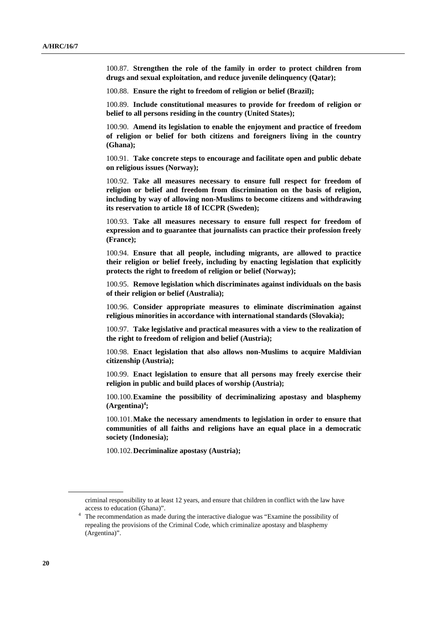100.87. **Strengthen the role of the family in order to protect children from drugs and sexual exploitation, and reduce juvenile delinquency (Qatar);** 

100.88. **Ensure the right to freedom of religion or belief (Brazil);** 

100.89. **Include constitutional measures to provide for freedom of religion or belief to all persons residing in the country (United States);** 

100.90. **Amend its legislation to enable the enjoyment and practice of freedom of religion or belief for both citizens and foreigners living in the country (Ghana);** 

100.91. **Take concrete steps to encourage and facilitate open and public debate on religious issues (Norway);** 

100.92. **Take all measures necessary to ensure full respect for freedom of religion or belief and freedom from discrimination on the basis of religion, including by way of allowing non-Muslims to become citizens and withdrawing its reservation to article 18 of ICCPR (Sweden);** 

100.93. **Take all measures necessary to ensure full respect for freedom of expression and to guarantee that journalists can practice their profession freely (France);** 

100.94. **Ensure that all people, including migrants, are allowed to practice their religion or belief freely, including by enacting legislation that explicitly protects the right to freedom of religion or belief (Norway);** 

100.95. **Remove legislation which discriminates against individuals on the basis of their religion or belief (Australia);** 

100.96. **Consider appropriate measures to eliminate discrimination against religious minorities in accordance with international standards (Slovakia);** 

100.97. **Take legislative and practical measures with a view to the realization of the right to freedom of religion and belief (Austria);** 

100.98. **Enact legislation that also allows non-Muslims to acquire Maldivian citizenship (Austria);** 

100.99. **Enact legislation to ensure that all persons may freely exercise their religion in public and build places of worship (Austria);** 

100.100. **Examine the possibility of decriminalizing apostasy and blasphemy**   $(A$ rgentina $)^4$ ;

100.101. **Make the necessary amendments to legislation in order to ensure that communities of all faiths and religions have an equal place in a democratic society (Indonesia);** 

100.102. **Decriminalize apostasy (Austria);** 

criminal responsibility to at least 12 years, and ensure that children in conflict with the law have

access to education (Ghana)".<br><sup>4</sup> The recommendation as made during the interactive dialogue was "Examine the possibility of repealing the provisions of the Criminal Code, which criminalize apostasy and blasphemy (Argentina)".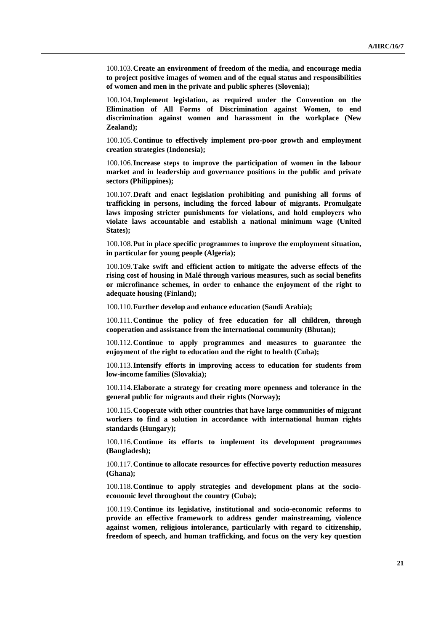100.103. **Create an environment of freedom of the media, and encourage media to project positive images of women and of the equal status and responsibilities of women and men in the private and public spheres (Slovenia);** 

100.104. **Implement legislation, as required under the Convention on the Elimination of All Forms of Discrimination against Women, to end discrimination against women and harassment in the workplace (New Zealand);** 

100.105. **Continue to effectively implement pro-poor growth and employment creation strategies (Indonesia);** 

100.106. **Increase steps to improve the participation of women in the labour market and in leadership and governance positions in the public and private sectors (Philippines);** 

100.107. **Draft and enact legislation prohibiting and punishing all forms of trafficking in persons, including the forced labour of migrants. Promulgate laws imposing stricter punishments for violations, and hold employers who violate laws accountable and establish a national minimum wage (United States);** 

100.108. **Put in place specific programmes to improve the employment situation, in particular for young people (Algeria);** 

100.109. **Take swift and efficient action to mitigate the adverse effects of the rising cost of housing in Malé through various measures, such as social benefits or microfinance schemes, in order to enhance the enjoyment of the right to adequate housing (Finland);** 

100.110. **Further develop and enhance education (Saudi Arabia);** 

100.111. **Continue the policy of free education for all children, through cooperation and assistance from the international community (Bhutan);** 

100.112. **Continue to apply programmes and measures to guarantee the enjoyment of the right to education and the right to health (Cuba);** 

100.113. **Intensify efforts in improving access to education for students from low-income families (Slovakia);** 

100.114. **Elaborate a strategy for creating more openness and tolerance in the general public for migrants and their rights (Norway);** 

100.115. **Cooperate with other countries that have large communities of migrant workers to find a solution in accordance with international human rights standards (Hungary);** 

100.116. **Continue its efforts to implement its development programmes (Bangladesh);** 

100.117. **Continue to allocate resources for effective poverty reduction measures (Ghana);** 

100.118. **Continue to apply strategies and development plans at the socioeconomic level throughout the country (Cuba);** 

100.119. **Continue its legislative, institutional and socio-economic reforms to provide an effective framework to address gender mainstreaming, violence against women, religious intolerance, particularly with regard to citizenship, freedom of speech, and human trafficking, and focus on the very key question**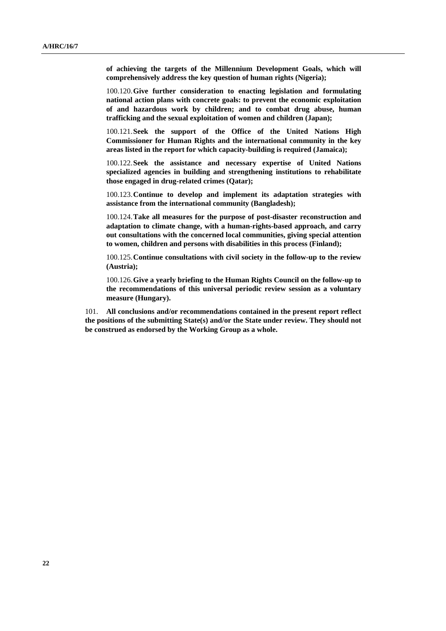**of achieving the targets of the Millennium Development Goals, which will comprehensively address the key question of human rights (Nigeria);** 

100.120. **Give further consideration to enacting legislation and formulating national action plans with concrete goals: to prevent the economic exploitation of and hazardous work by children; and to combat drug abuse, human trafficking and the sexual exploitation of women and children (Japan);** 

100.121. **Seek the support of the Office of the United Nations High Commissioner for Human Rights and the international community in the key areas listed in the report for which capacity-building is required (Jamaica);** 

100.122. **Seek the assistance and necessary expertise of United Nations specialized agencies in building and strengthening institutions to rehabilitate those engaged in drug-related crimes (Qatar);** 

100.123. **Continue to develop and implement its adaptation strategies with assistance from the international community (Bangladesh);** 

100.124. **Take all measures for the purpose of post-disaster reconstruction and adaptation to climate change, with a human-rights-based approach, and carry out consultations with the concerned local communities, giving special attention to women, children and persons with disabilities in this process (Finland);** 

100.125. **Continue consultations with civil society in the follow-up to the review (Austria);** 

100.126. **Give a yearly briefing to the Human Rights Council on the follow-up to the recommendations of this universal periodic review session as a voluntary measure (Hungary).**

101. **All conclusions and/or recommendations contained in the present report reflect the positions of the submitting State(s) and/or the State under review. They should not be construed as endorsed by the Working Group as a whole.**